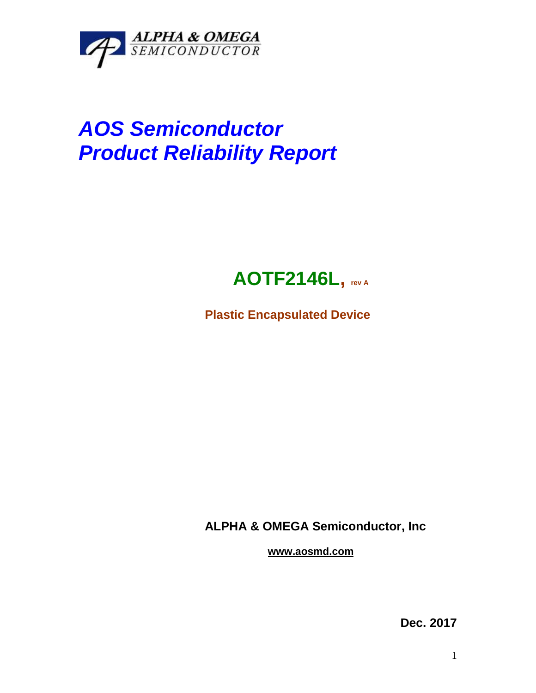

# *AOS Semiconductor Product Reliability Report*

## **AOTF2146L, rev <sup>A</sup>**

**Plastic Encapsulated Device**

**ALPHA & OMEGA Semiconductor, Inc**

**www.aosmd.com**

**Dec. 2017**